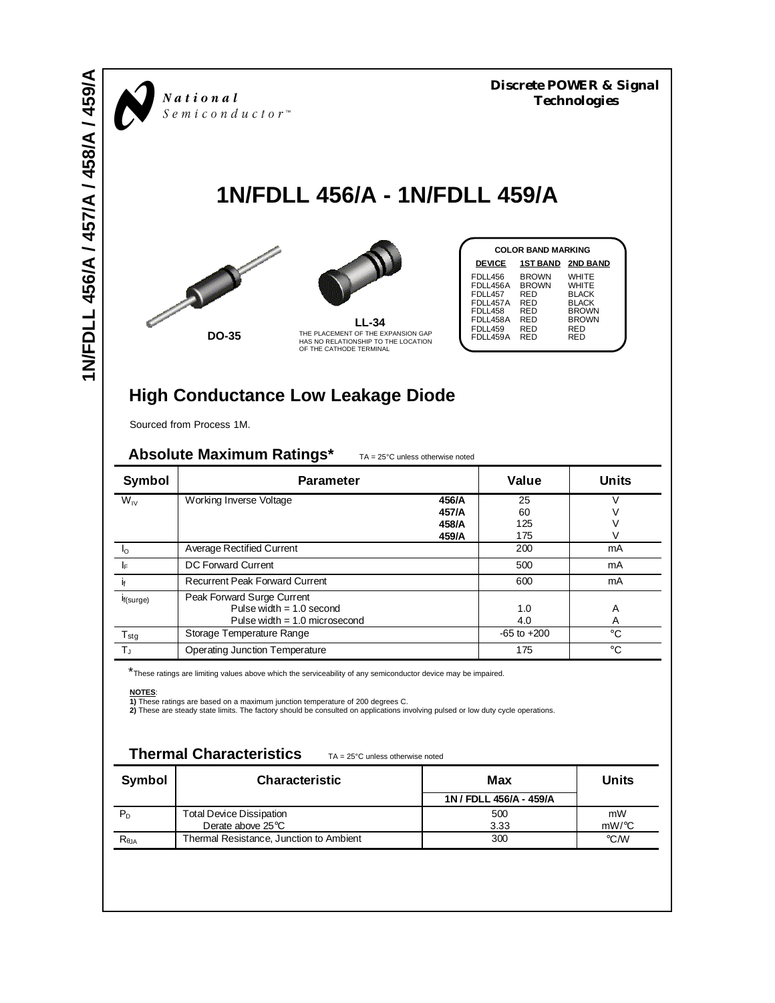*Discrete POWER & Signal*<br>*Semiconductor*<sup>\*</sup><br>*Semiconductor*<sup>\*</sup>

# **1N/FDLL 456/A - 1N/FDLL 459/A**





| <b>COLOR BAND MARKING</b>                                                                              |                                                                        |                                                                                                     |  |  |  |
|--------------------------------------------------------------------------------------------------------|------------------------------------------------------------------------|-----------------------------------------------------------------------------------------------------|--|--|--|
| <b>DEVICE</b>                                                                                          |                                                                        | <b>1ST BAND 2ND BAND</b>                                                                            |  |  |  |
| FDLL456<br>FDLL456A<br>FDLL457<br>FDLL457A<br><b>FDLL458</b><br>FDLL458A<br><b>FDLL459</b><br>FDLL459A | <b>BROWN</b><br><b>BROWN</b><br>RED<br>RED<br>RED<br>RED<br>RED<br>RFD | WHITE<br>WHITE<br><b>BLACK</b><br><b>BLACK</b><br><b>BROWN</b><br><b>BROWN</b><br><b>RED</b><br>RFD |  |  |  |

## **High Conductance Low Leakage Diode**

Sourced from Process 1M.

### Absolute Maximum Ratings\* TA = 25°C unless otherwise noted

| <b>Symbol</b>    | <b>Parameter</b>                      |       | Value           | Units        |  |
|------------------|---------------------------------------|-------|-----------------|--------------|--|
| $W_{IV}$         | Working Inverse Voltage               | 456/A | 25              |              |  |
|                  |                                       | 457/A | 60              |              |  |
|                  |                                       | 458/A | 125             |              |  |
|                  |                                       | 459/A | 175             |              |  |
| I∩               | <b>Average Rectified Current</b>      |       | 200             | mA           |  |
| I۴               | DC Forward Current                    |       | 500             | mA           |  |
|                  | <b>Recurrent Peak Forward Current</b> |       | 600             | mA           |  |
| If(surge)        | Peak Forward Surge Current            |       |                 |              |  |
|                  | Pulse width $= 1.0$ second            |       | 1.0             | A            |  |
|                  | Pulse width $= 1.0$ microsecond       |       | 4.0             | Α            |  |
| $T_{\text{stg}}$ | Storage Temperature Range             |       | $-65$ to $+200$ | °C           |  |
| $T_{\rm J}$      | Operating Junction Temperature        |       | 175             | $^{\circ}$ C |  |

\*These ratings are limiting values above which the serviceability of any semiconductor device may be impaired.

**NOTES**:<br>**1) T**hese ratings are based on a maximum junction temperature of 200 degrees C.<br>**2)** These are steady state limits. The factory should be consulted on applications involving pulsed or low duty cycle operations.

### **Thermal Characteristics** TA = 25°C unless otherwise noted

| <b>Symbol</b>  | <b>Characteristic</b>                   | Max                     | <b>Units</b> |  |
|----------------|-----------------------------------------|-------------------------|--------------|--|
|                |                                         | 1N / FDLL 456/A - 459/A |              |  |
|                | <b>Total Device Dissipation</b>         | 500                     | mW           |  |
|                | Derate above 25°C                       | 3.33                    | $mW$ /°C     |  |
| $R_{\theta$ JA | Thermal Resistance, Junction to Ambient | 300                     | °C/W         |  |
|                |                                         |                         |              |  |